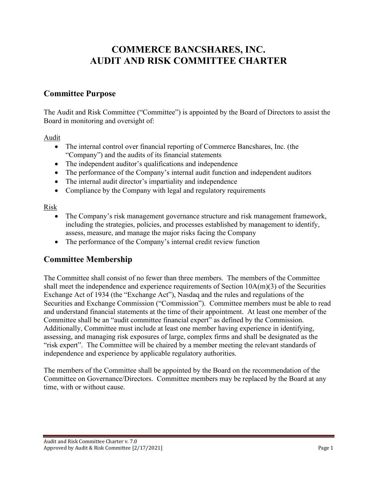# **COMMERCE BANCSHARES, INC. AUDIT AND RISK COMMITTEE CHARTER**

## **Committee Purpose**

The Audit and Risk Committee ("Committee") is appointed by the Board of Directors to assist the Board in monitoring and oversight of:

Audit

- The internal control over financial reporting of Commerce Bancshares, Inc. (the "Company") and the audits of its financial statements
- The independent auditor's qualifications and independence
- The performance of the Company's internal audit function and independent auditors
- The internal audit director's impartiality and independence
- Compliance by the Company with legal and regulatory requirements

Risk

- The Company's risk management governance structure and risk management framework, including the strategies, policies, and processes established by management to identify, assess, measure, and manage the major risks facing the Company
- The performance of the Company's internal credit review function

## **Committee Membership**

The Committee shall consist of no fewer than three members. The members of the Committee shall meet the independence and experience requirements of Section 10A(m)(3) of the Securities Exchange Act of 1934 (the "Exchange Act"), Nasdaq and the rules and regulations of the Securities and Exchange Commission ("Commission"). Committee members must be able to read and understand financial statements at the time of their appointment. At least one member of the Committee shall be an "audit committee financial expert" as defined by the Commission. Additionally, Committee must include at least one member having experience in identifying, assessing, and managing risk exposures of large, complex firms and shall be designated as the "risk expert". The Committee will be chaired by a member meeting the relevant standards of independence and experience by applicable regulatory authorities.

The members of the Committee shall be appointed by the Board on the recommendation of the Committee on Governance/Directors. Committee members may be replaced by the Board at any time, with or without cause.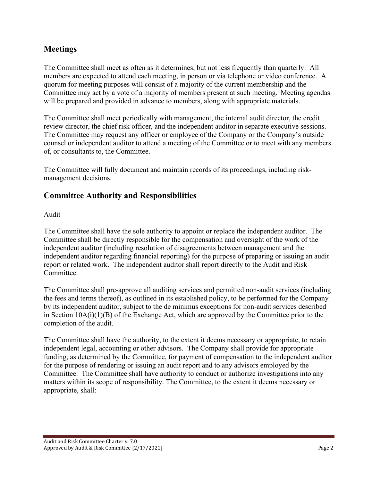# **Meetings**

The Committee shall meet as often as it determines, but not less frequently than quarterly. All members are expected to attend each meeting, in person or via telephone or video conference. A quorum for meeting purposes will consist of a majority of the current membership and the Committee may act by a vote of a majority of members present at such meeting. Meeting agendas will be prepared and provided in advance to members, along with appropriate materials.

The Committee shall meet periodically with management, the internal audit director, the credit review director, the chief risk officer, and the independent auditor in separate executive sessions. The Committee may request any officer or employee of the Company or the Company's outside counsel or independent auditor to attend a meeting of the Committee or to meet with any members of, or consultants to, the Committee.

The Committee will fully document and maintain records of its proceedings, including riskmanagement decisions.

# **Committee Authority and Responsibilities**

#### Audit

The Committee shall have the sole authority to appoint or replace the independent auditor. The Committee shall be directly responsible for the compensation and oversight of the work of the independent auditor (including resolution of disagreements between management and the independent auditor regarding financial reporting) for the purpose of preparing or issuing an audit report or related work. The independent auditor shall report directly to the Audit and Risk Committee.

The Committee shall pre-approve all auditing services and permitted non-audit services (including the fees and terms thereof), as outlined in its established policy, to be performed for the Company by its independent auditor, subject to the de minimus exceptions for non-audit services described in Section 10A(i)(1)(B) of the Exchange Act, which are approved by the Committee prior to the completion of the audit.

The Committee shall have the authority, to the extent it deems necessary or appropriate, to retain independent legal, accounting or other advisors. The Company shall provide for appropriate funding, as determined by the Committee, for payment of compensation to the independent auditor for the purpose of rendering or issuing an audit report and to any advisors employed by the Committee. The Committee shall have authority to conduct or authorize investigations into any matters within its scope of responsibility. The Committee, to the extent it deems necessary or appropriate, shall: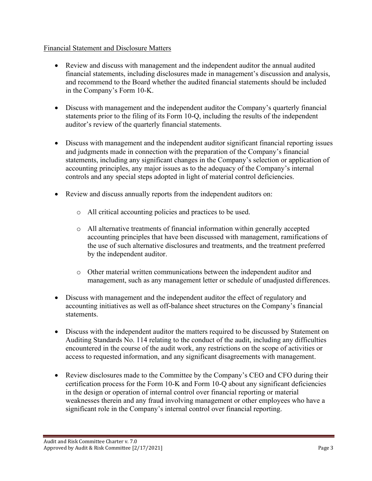#### Financial Statement and Disclosure Matters

- Review and discuss with management and the independent auditor the annual audited financial statements, including disclosures made in management's discussion and analysis, and recommend to the Board whether the audited financial statements should be included in the Company's Form 10-K.
- Discuss with management and the independent auditor the Company's quarterly financial statements prior to the filing of its Form 10-Q, including the results of the independent auditor's review of the quarterly financial statements.
- Discuss with management and the independent auditor significant financial reporting issues and judgments made in connection with the preparation of the Company's financial statements, including any significant changes in the Company's selection or application of accounting principles, any major issues as to the adequacy of the Company's internal controls and any special steps adopted in light of material control deficiencies.
- Review and discuss annually reports from the independent auditors on:
	- o All critical accounting policies and practices to be used.
	- o All alternative treatments of financial information within generally accepted accounting principles that have been discussed with management, ramifications of the use of such alternative disclosures and treatments, and the treatment preferred by the independent auditor.
	- o Other material written communications between the independent auditor and management, such as any management letter or schedule of unadjusted differences.
- Discuss with management and the independent auditor the effect of regulatory and accounting initiatives as well as off-balance sheet structures on the Company's financial statements.
- Discuss with the independent auditor the matters required to be discussed by Statement on Auditing Standards No. 114 relating to the conduct of the audit, including any difficulties encountered in the course of the audit work, any restrictions on the scope of activities or access to requested information, and any significant disagreements with management.
- Review disclosures made to the Committee by the Company's CEO and CFO during their certification process for the Form 10-K and Form 10-Q about any significant deficiencies in the design or operation of internal control over financial reporting or material weaknesses therein and any fraud involving management or other employees who have a significant role in the Company's internal control over financial reporting.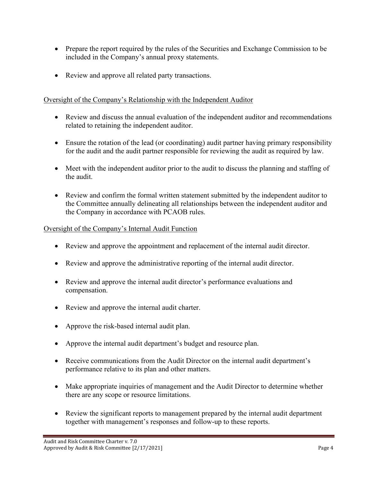- Prepare the report required by the rules of the Securities and Exchange Commission to be included in the Company's annual proxy statements.
- Review and approve all related party transactions.

#### Oversight of the Company's Relationship with the Independent Auditor

- Review and discuss the annual evaluation of the independent auditor and recommendations related to retaining the independent auditor.
- Ensure the rotation of the lead (or coordinating) audit partner having primary responsibility for the audit and the audit partner responsible for reviewing the audit as required by law.
- Meet with the independent auditor prior to the audit to discuss the planning and staffing of the audit.
- Review and confirm the formal written statement submitted by the independent auditor to the Committee annually delineating all relationships between the independent auditor and the Company in accordance with PCAOB rules.

#### Oversight of the Company's Internal Audit Function

- Review and approve the appointment and replacement of the internal audit director.
- Review and approve the administrative reporting of the internal audit director.
- Review and approve the internal audit director's performance evaluations and compensation.
- Review and approve the internal audit charter.
- Approve the risk-based internal audit plan.
- Approve the internal audit department's budget and resource plan.
- Receive communications from the Audit Director on the internal audit department's performance relative to its plan and other matters.
- Make appropriate inquiries of management and the Audit Director to determine whether there are any scope or resource limitations.
- Review the significant reports to management prepared by the internal audit department together with management's responses and follow-up to these reports.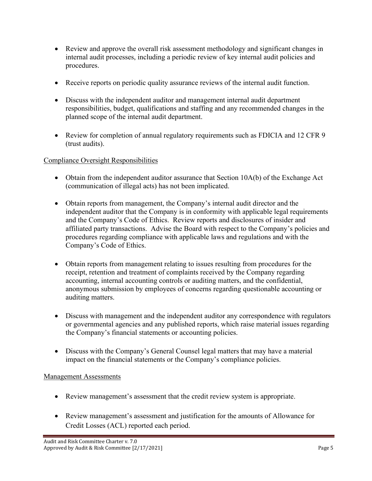- Review and approve the overall risk assessment methodology and significant changes in internal audit processes, including a periodic review of key internal audit policies and procedures.
- Receive reports on periodic quality assurance reviews of the internal audit function.
- Discuss with the independent auditor and management internal audit department responsibilities, budget, qualifications and staffing and any recommended changes in the planned scope of the internal audit department.
- Review for completion of annual regulatory requirements such as FDICIA and 12 CFR 9 (trust audits).

#### Compliance Oversight Responsibilities

- Obtain from the independent auditor assurance that Section 10A(b) of the Exchange Act (communication of illegal acts) has not been implicated.
- Obtain reports from management, the Company's internal audit director and the independent auditor that the Company is in conformity with applicable legal requirements and the Company's Code of Ethics. Review reports and disclosures of insider and affiliated party transactions. Advise the Board with respect to the Company's policies and procedures regarding compliance with applicable laws and regulations and with the Company's Code of Ethics.
- Obtain reports from management relating to issues resulting from procedures for the receipt, retention and treatment of complaints received by the Company regarding accounting, internal accounting controls or auditing matters, and the confidential, anonymous submission by employees of concerns regarding questionable accounting or auditing matters.
- Discuss with management and the independent auditor any correspondence with regulators or governmental agencies and any published reports, which raise material issues regarding the Company's financial statements or accounting policies.
- Discuss with the Company's General Counsel legal matters that may have a material impact on the financial statements or the Company's compliance policies.

#### Management Assessments

- Review management's assessment that the credit review system is appropriate.
- Review management's assessment and justification for the amounts of Allowance for Credit Losses (ACL) reported each period.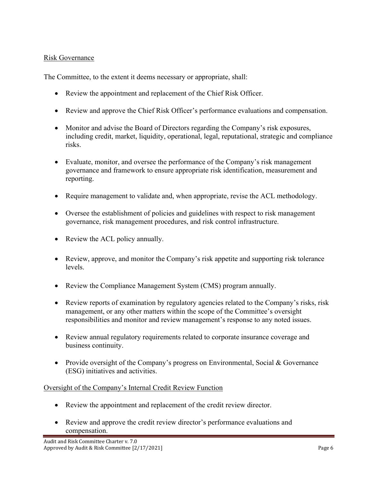#### Risk Governance

The Committee, to the extent it deems necessary or appropriate, shall:

- Review the appointment and replacement of the Chief Risk Officer.
- Review and approve the Chief Risk Officer's performance evaluations and compensation.
- Monitor and advise the Board of Directors regarding the Company's risk exposures, including credit, market, liquidity, operational, legal, reputational, strategic and compliance risks.
- Evaluate, monitor, and oversee the performance of the Company's risk management governance and framework to ensure appropriate risk identification, measurement and reporting.
- Require management to validate and, when appropriate, revise the ACL methodology.
- Oversee the establishment of policies and guidelines with respect to risk management governance, risk management procedures, and risk control infrastructure.
- Review the ACL policy annually.
- Review, approve, and monitor the Company's risk appetite and supporting risk tolerance levels.
- Review the Compliance Management System (CMS) program annually.
- Review reports of examination by regulatory agencies related to the Company's risks, risk management, or any other matters within the scope of the Committee's oversight responsibilities and monitor and review management's response to any noted issues.
- Review annual regulatory requirements related to corporate insurance coverage and business continuity.
- Provide oversight of the Company's progress on Environmental, Social & Governance (ESG) initiatives and activities.

#### Oversight of the Company's Internal Credit Review Function

- Review the appointment and replacement of the credit review director.
- Review and approve the credit review director's performance evaluations and compensation.